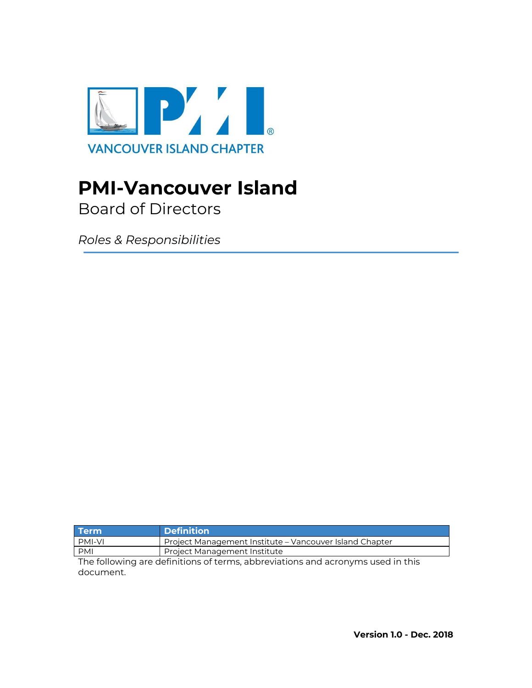

# **PMI-Vancouver Island**

Board of Directors

*Roles & Responsibilities*

| <b>Term</b>   | <b>Definition</b>                                       |
|---------------|---------------------------------------------------------|
| <b>PMI-VI</b> | Project Management Institute – Vancouver Island Chapter |
| <b>PMI</b>    | Project Management Institute                            |
| .             | .                                                       |

The following are definitions of terms, abbreviations and acronyms used in this document.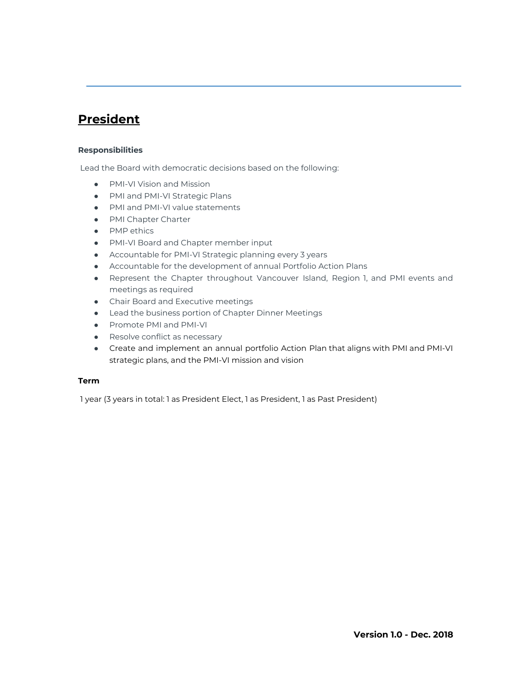### **President**

#### **Responsibilities**

Lead the Board with democratic decisions based on the following:

- PMI-VI Vision and Mission
- PMI and PMI-VI Strategic Plans
- PMI and PMI-VI value statements
- PMI Chapter Charter
- PMP ethics
- PMI-VI Board and Chapter member input
- Accountable for PMI-VI Strategic planning every 3 years
- Accountable for the development of annual Portfolio Action Plans
- Represent the Chapter throughout Vancouver Island, Region 1, and PMI events and meetings as required
- Chair Board and Executive meetings
- Lead the business portion of Chapter Dinner Meetings
- Promote PMI and PMI-VI
- Resolve conflict as necessary
- Create and implement an annual portfolio Action Plan that aligns with PMI and PMI-VI strategic plans, and the PMI-VI mission and vision

#### **Term**

1 year (3 years in total: 1 as President Elect, 1 as President, 1 as Past President)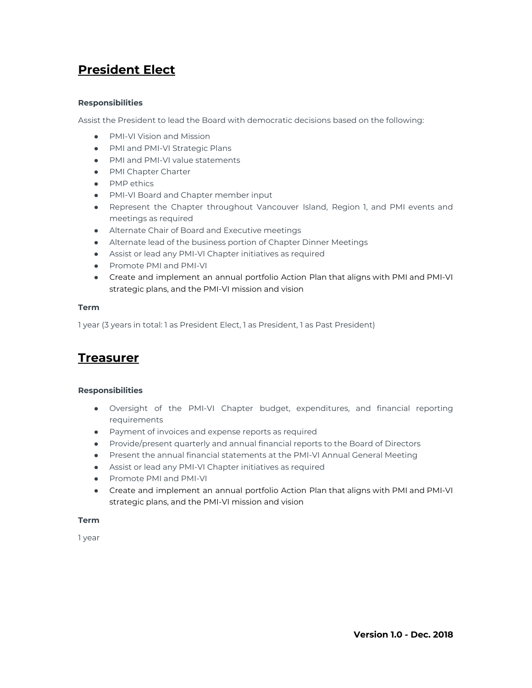## **President Elect**

#### **Responsibilities**

Assist the President to lead the Board with democratic decisions based on the following:

- PMI-VI Vision and Mission
- PMI and PMI-VI Strategic Plans
- PMI and PMI-VI value statements
- PMI Chapter Charter
- PMP ethics
- PMI-VI Board and Chapter member input
- Represent the Chapter throughout Vancouver Island, Region 1, and PMI events and meetings as required
- Alternate Chair of Board and Executive meetings
- Alternate lead of the business portion of Chapter Dinner Meetings
- Assist or lead any PMI-VI Chapter initiatives as required
- Promote PMI and PMI-VI
- Create and implement an annual portfolio Action Plan that aligns with PMI and PMI-VI strategic plans, and the PMI-VI mission and vision

#### **Term**

1 year (3 years in total: 1 as President Elect, 1 as President, 1 as Past President)

### **Treasurer**

#### **Responsibilities**

- Oversight of the PMI-VI Chapter budget, expenditures, and financial reporting requirements
- Payment of invoices and expense reports as required
- Provide/present quarterly and annual financial reports to the Board of Directors
- Present the annual financial statements at the PMI-VI Annual General Meeting
- Assist or lead any PMI-VI Chapter initiatives as required
- Promote PMI and PMI-VI
- Create and implement an annual portfolio Action Plan that aligns with PMI and PMI-VI strategic plans, and the PMI-VI mission and vision

#### **Term**

1 year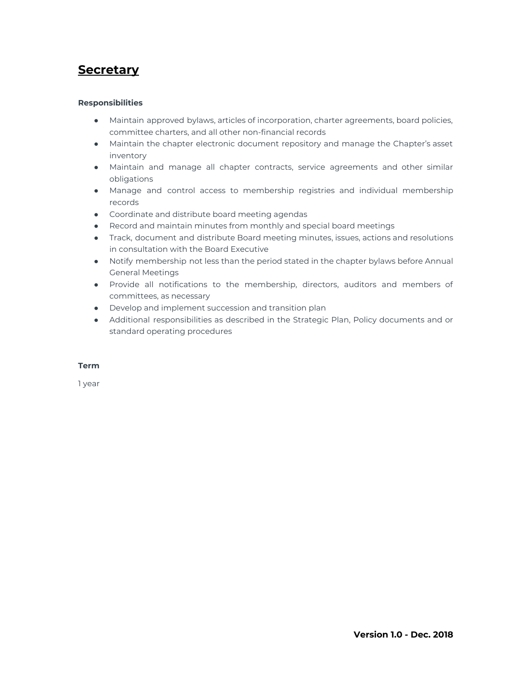### **Secretary**

#### **Responsibilities**

- Maintain approved bylaws, articles of incorporation, charter agreements, board policies, committee charters, and all other non-financial records
- Maintain the chapter electronic document repository and manage the Chapter's asset inventory
- Maintain and manage all chapter contracts, service agreements and other similar obligations
- Manage and control access to membership registries and individual membership records
- Coordinate and distribute board meeting agendas
- Record and maintain minutes from monthly and special board meetings
- Track, document and distribute Board meeting minutes, issues, actions and resolutions in consultation with the Board Executive
- Notify membership not less than the period stated in the chapter bylaws before Annual General Meetings
- Provide all notifications to the membership, directors, auditors and members of committees, as necessary
- Develop and implement succession and transition plan
- Additional responsibilities as described in the Strategic Plan, Policy documents and or standard operating procedures

#### **Term**

1 year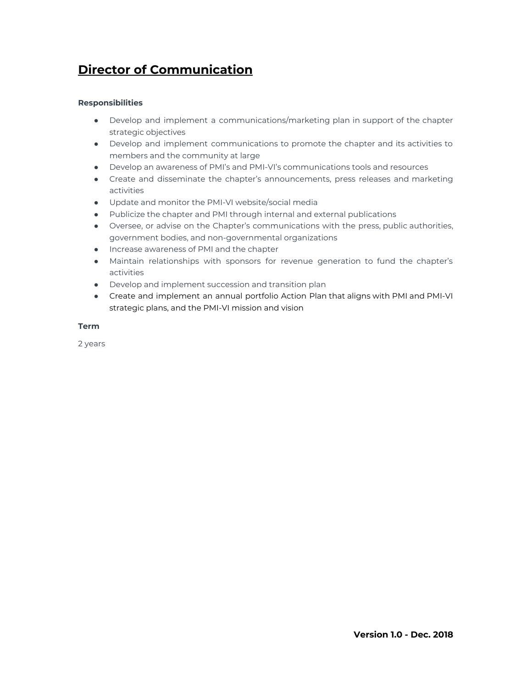## **Director of Communication**

#### **Responsibilities**

- Develop and implement a communications/marketing plan in support of the chapter strategic objectives
- Develop and implement communications to promote the chapter and its activities to members and the community at large
- Develop an awareness of PMI's and PMI-VI's communications tools and resources
- Create and disseminate the chapter's announcements, press releases and marketing activities
- Update and monitor the PMI-VI website/social media
- Publicize the chapter and PMI through internal and external publications
- Oversee, or advise on the Chapter's communications with the press, public authorities, government bodies, and non-governmental organizations
- Increase awareness of PMI and the chapter
- Maintain relationships with sponsors for revenue generation to fund the chapter's activities
- Develop and implement succession and transition plan
- **●** Create and implement an annual portfolio Action Plan that aligns with PMI and PMI-VI strategic plans, and the PMI-VI mission and vision

#### **Term**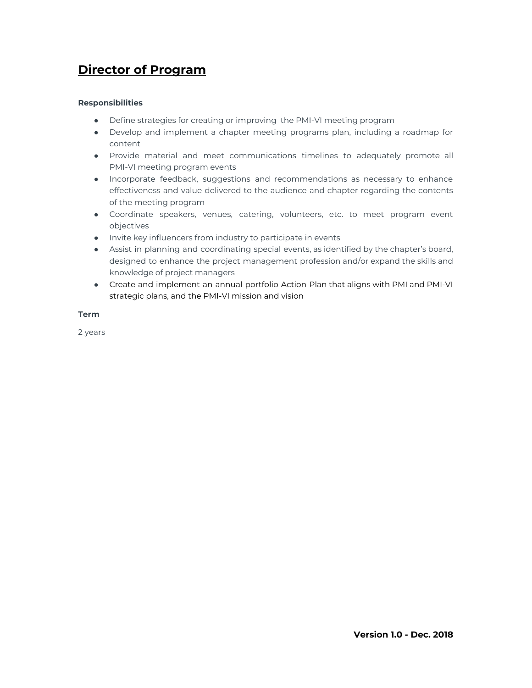### **Director of Program**

#### **Responsibilities**

- Define strategies for creating or improving the PMI-VI meeting program
- Develop and implement a chapter meeting programs plan, including a roadmap for content
- Provide material and meet communications timelines to adequately promote all PMI-VI meeting program events
- Incorporate feedback, suggestions and recommendations as necessary to enhance effectiveness and value delivered to the audience and chapter regarding the contents of the meeting program
- Coordinate speakers, venues, catering, volunteers, etc. to meet program event objectives
- Invite key influencers from industry to participate in events
- Assist in planning and coordinating special events, as identified by the chapter's board, designed to enhance the project management profession and/or expand the skills and knowledge of project managers
- Create and implement an annual portfolio Action Plan that aligns with PMI and PMI-VI strategic plans, and the PMI-VI mission and vision

#### **Term**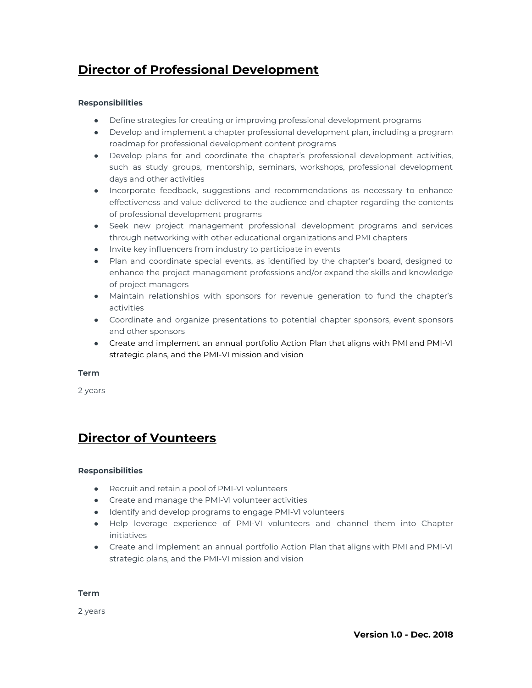### **Director of Professional Development**

#### **Responsibilities**

- Define strategies for creating or improving professional development programs
- Develop and implement a chapter professional development plan, including a program roadmap for professional development content programs
- Develop plans for and coordinate the chapter's professional development activities, such as study groups, mentorship, seminars, workshops, professional development days and other activities
- Incorporate feedback, suggestions and recommendations as necessary to enhance effectiveness and value delivered to the audience and chapter regarding the contents of professional development programs
- Seek new project management professional development programs and services through networking with other educational organizations and PMI chapters
- Invite key influencers from industry to participate in events
- Plan and coordinate special events, as identified by the chapter's board, designed to enhance the project management professions and/or expand the skills and knowledge of project managers
- Maintain relationships with sponsors for revenue generation to fund the chapter's activities
- Coordinate and organize presentations to potential chapter sponsors, event sponsors and other sponsors
- Create and implement an annual portfolio Action Plan that aligns with PMI and PMI-VI strategic plans, and the PMI-VI mission and vision

#### **Term**

2 years

### **Director of Vounteers**

#### **Responsibilities**

- Recruit and retain a pool of PMI-VI volunteers
- Create and manage the PMI-VI volunteer activities
- Identify and develop programs to engage PMI-VI volunteers
- Help leverage experience of PMI-VI volunteers and channel them into Chapter initiatives
- Create and implement an annual portfolio Action Plan that aligns with PMI and PMI-VI strategic plans, and the PMI-VI mission and vision

**Term**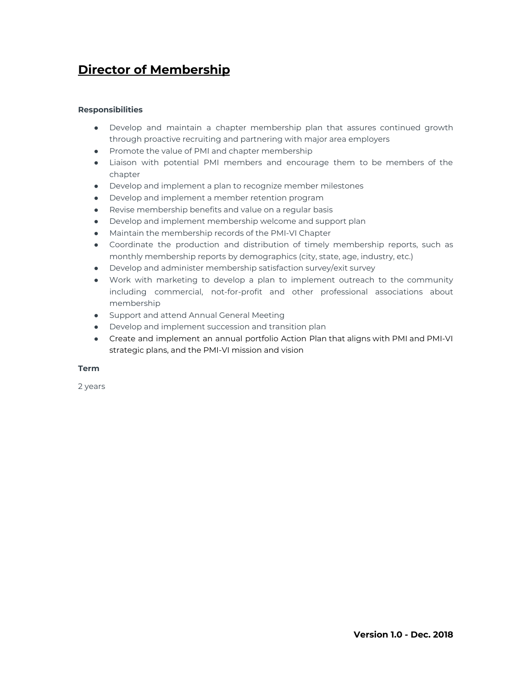### **Director of Membership**

#### **Responsibilities**

- Develop and maintain a chapter membership plan that assures continued growth through proactive recruiting and partnering with major area employers
- Promote the value of PMI and chapter membership
- Liaison with potential PMI members and encourage them to be members of the chapter
- Develop and implement a plan to recognize member milestones
- Develop and implement a member retention program
- Revise membership benefits and value on a regular basis
- Develop and implement membership welcome and support plan
- Maintain the membership records of the PMI-VI Chapter
- Coordinate the production and distribution of timely membership reports, such as monthly membership reports by demographics (city, state, age, industry, etc.)
- Develop and administer membership satisfaction survey/exit survey
- Work with marketing to develop a plan to implement outreach to the community including commercial, not-for-profit and other professional associations about membership
- Support and attend Annual General Meeting
- Develop and implement succession and transition plan
- Create and implement an annual portfolio Action Plan that aligns with PMI and PMI-VI strategic plans, and the PMI-VI mission and vision

#### **Term**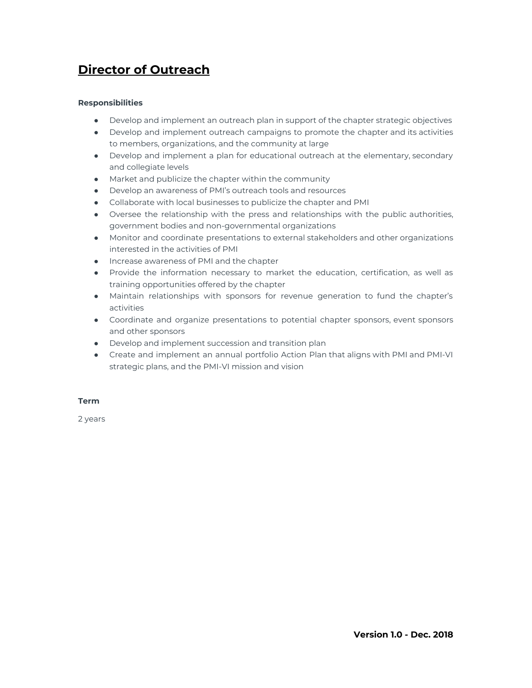## **Director of Outreach**

#### **Responsibilities**

- Develop and implement an outreach plan in support of the chapter strategic objectives
- Develop and implement outreach campaigns to promote the chapter and its activities to members, organizations, and the community at large
- Develop and implement a plan for educational outreach at the elementary, secondary and collegiate levels
- Market and publicize the chapter within the community
- Develop an awareness of PMI's outreach tools and resources
- Collaborate with local businesses to publicize the chapter and PMI
- Oversee the relationship with the press and relationships with the public authorities, government bodies and non-governmental organizations
- Monitor and coordinate presentations to external stakeholders and other organizations interested in the activities of PMI
- Increase awareness of PMI and the chapter
- Provide the information necessary to market the education, certification, as well as training opportunities offered by the chapter
- Maintain relationships with sponsors for revenue generation to fund the chapter's activities
- Coordinate and organize presentations to potential chapter sponsors, event sponsors and other sponsors
- Develop and implement succession and transition plan
- Create and implement an annual portfolio Action Plan that aligns with PMI and PMI-VI strategic plans, and the PMI-VI mission and vision

#### **Term**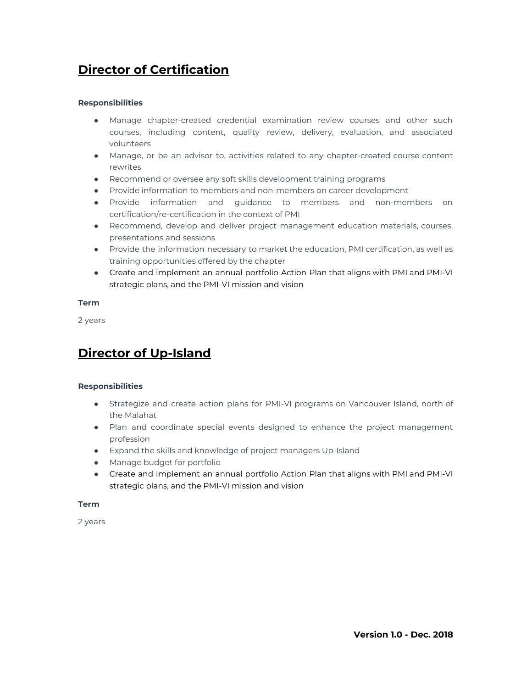## **Director of Certification**

#### **Responsibilities**

- Manage chapter-created credential examination review courses and other such courses, including content, quality review, delivery, evaluation, and associated volunteers
- Manage, or be an advisor to, activities related to any chapter-created course content rewrites
- Recommend or oversee any soft skills development training programs
- Provide information to members and non-members on career development
- Provide information and guidance to members and non-members on certification/re-certification in the context of PMI
- Recommend, develop and deliver project management education materials, courses, presentations and sessions
- Provide the information necessary to market the education, PMI certification, as well as training opportunities offered by the chapter
- Create and implement an annual portfolio Action Plan that aligns with PMI and PMI-VI strategic plans, and the PMI-VI mission and vision

#### **Term**

2 years

### **Director of Up-Island**

#### **Responsibilities**

- Strategize and create action plans for PMI-VI programs on Vancouver Island, north of the Malahat
- Plan and coordinate special events designed to enhance the project management profession
- Expand the skills and knowledge of project managers Up-Island
- Manage budget for portfolio
- Create and implement an annual portfolio Action Plan that aligns with PMI and PMI-VI strategic plans, and the PMI-VI mission and vision

#### **Term**